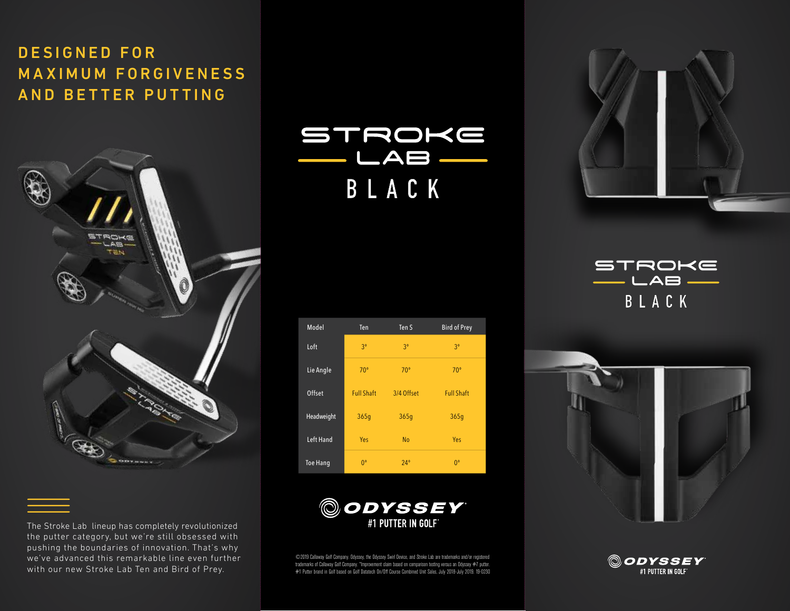# DESIGNED FOR **MAXIMUM FORGIVENESS** AND BETTER PUTTING



The Stroke Lab lineup has completely revolutionized the putter category, but we're still obsessed with pushing the boundaries of innovation. That's why we've advanced this remarkable line even further with our new Stroke Lab Ten and Bird of Prey.

STROKE  $-LAB$ BLACK

| Model           | Ten               | Ten <sub>S</sub> | <b>Bird of Prey</b> |
|-----------------|-------------------|------------------|---------------------|
| Loft            | 3 <sup>o</sup>    | 3 <sup>o</sup>   | 3 <sup>o</sup>      |
| Lie Angle       | $70^{\circ}$      | $70^{\circ}$     | $70^{\circ}$        |
| Offset          | <b>Full Shaft</b> | 3/4 Offset       | <b>Full Shaft</b>   |
| Headweight      | 365q              | 365q             | 365q                |
| Left Hand       | Yes               | <b>No</b>        | Yes                 |
| <b>Toe Hang</b> | $0^{\circ}$       | $24^\circ$       | $0^{\circ}$         |



©2019 Callaway Golf Company. Odyssey, the Odyssey Swirl Device, and Stroke Lab are trademarks and/or registered trademarks of Callaway Golf Company. \*Improvement claim based on comparison testing versus an Odyssey #7 putter. #1 Putter brand in Golf based on Golf Datatech On/Off Course Combined Unit Sales, July 2018-July 2019. 19-0230



STROKE  $\rightharpoonup$   $\sqsubset$  AB  $\rightharpoonup$ BLACK